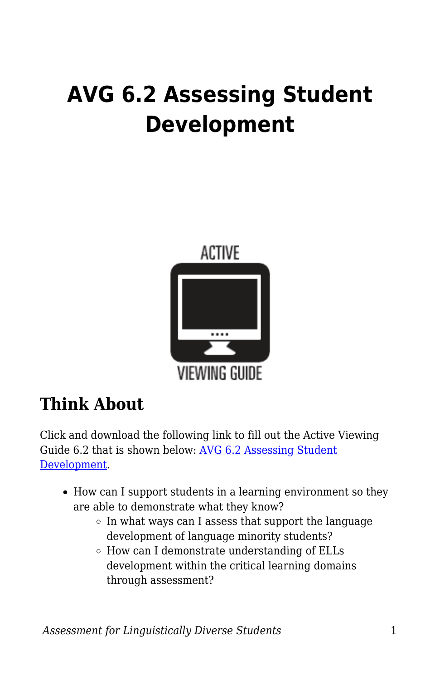# **AVG 6.2 Assessing Student Development**



## **Think About**

Click and download the following link to fill out the Active Viewing Guide 6.2 that is shown below: [AVG 6.2 Assessing Student](https://byu.box.com/s/h2xbsb5qoqo4s57l2a9rsx0p46q8lrc2) [Development](https://byu.box.com/s/h2xbsb5qoqo4s57l2a9rsx0p46q8lrc2).

- How can I support students in a learning environment so they are able to demonstrate what they know?
	- $\circ$  In what ways can I assess that support the language development of language minority students?
	- How can I demonstrate understanding of ELLs development within the critical learning domains through assessment?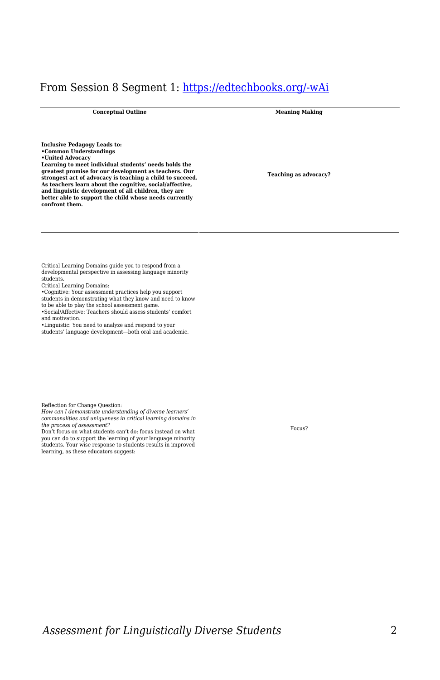## From Session 8 Segment 1: [https://edtechbooks.org/-wAi](https://education.byu.edu/tellvideolibrary/diverseStudents)

**Conceptual Outline Meaning Making**

**Inclusive Pedagogy Leads to: •Common Understandings •United Advocacy**

**Learning to meet individual students' needs holds the greatest promise for our development as teachers. Our strongest act of advocacy is teaching a child to succeed. As teachers learn about the cognitive, social/affective, and linguistic development of all children, they are better able to support the child whose needs currently confront them.**

**Teaching as advocacy?**

Critical Learning Domains guide you to respond from a developmental perspective in assessing language minority students.

Critical Learning Domains:

•Cognitive: Your assessment practices help you support students in demonstrating what they know and need to know

to be able to play the school assessment game

•Social/Affective: Teachers should assess students' comfort and motivation.

•Linguistic: You need to analyze and respond to your students' language development—both oral and academic.

Reflection for Change Question:

*How can I demonstrate understanding of diverse learners' commonalities and uniqueness in critical learning domains in the process of assessment?*

Don't focus on what students can't do; focus instead on what you can do to support the learning of your language minority students. Your wise response to students results in improved learning, as these educators suggest:

Focus?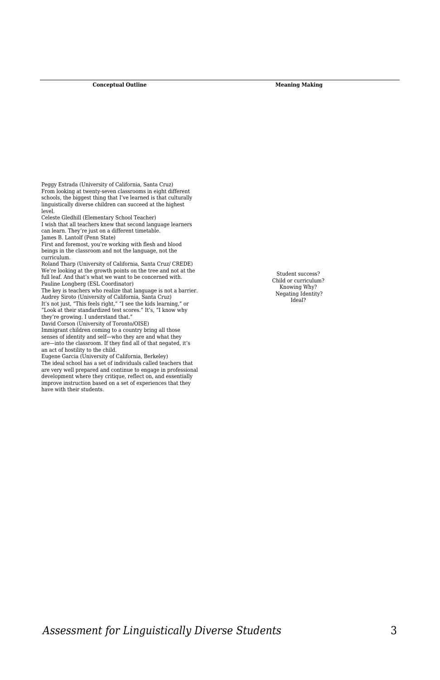Peggy Estrada (University of California, Santa Cruz) From looking at twenty-seven classrooms in eight different schools, the biggest thing that I've learned is that culturally linguistically diverse children can succeed at the highest level.

Celeste Gledhill (Elementary School Teacher)

I wish that all teachers knew that second language learners can learn. They're just on a different timetable. James B. Lantolf (Penn State)

First and foremost, you're working with flesh and blood beings in the classroom and not the language, not the curriculum.

Roland Tharp (University of California, Santa Cruz/ CREDE) We're looking at the growth points on the tree and not at the full leaf. And that's what we want to be concerned with. Pauline Longberg (ESL Coordinator)

The key is teachers who realize that language is not a barrier. Audrey Siroto (University of California, Santa Cruz) It's not just, "This feels right," "I see the kids learning," or "Look at their standardized test scores." It's, "I know why

they're growing. I understand that." David Corson (University of Toronto/OISE)

Immigrant children coming to a country bring all those senses of identity and self—who they are and what they are—into the classroom. If they find all of that negated, it's an act of hostility to the child.

Eugene Garcia (University of California, Berkeley) The ideal school has a set of individuals called teachers that are very well prepared and continue to engage in professional development where they critique, reflect on, and essentially improve instruction based on a set of experiences that they have with their students.

Student success? Child or curriculum? Knowing Why? Negating Identity? Ideal?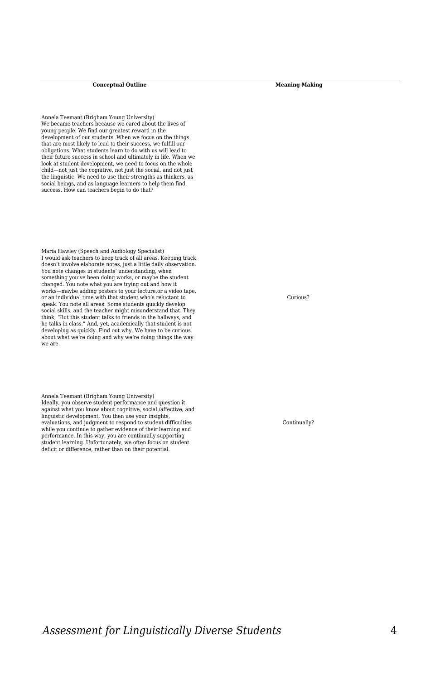Annela Teemant (Brigham Young University) We became teachers because we cared about the lives of young people. We find our greatest reward in the development of our students. When we focus on the things that are most likely to lead to their success, we fulfill our obligations. What students learn to do with us will lead to their future success in school and ultimately in life. When we look at student development, we need to focus on the whole child—not just the cognitive, not just the social, and not just the linguistic. We need to use their strengths as thinkers, as social beings, and as language learners to help them find success. How can teachers begin to do that?

Maria Hawley (Speech and Audiology Specialist) I would ask teachers to keep track of all areas. Keeping track doesn't involve elaborate notes, just a little daily observation. You note changes in students' understanding, when something you've been doing works, or maybe the student changed. You note what you are trying out and how it works—maybe adding posters to your lecture,or a video tape, or an individual time with that student who's reluctant to speak. You note all areas. Some students quickly develop social skills, and the teacher might misunderstand that. They think, "But this student talks to friends in the hallways, and he talks in class." And, yet, academically that student is not developing as quickly. Find out why. We have to be curious about what we're doing and why we're doing things the way we are.

Annela Teemant (Brigham Young University) Ideally, you observe student performance and question it against what you know about cognitive, social /affective, and linguistic development. You then use your insights, evaluations, and judgment to respond to student difficulties while you continue to gather evidence of their learning and performance. In this way, you are continually supporting student learning. Unfortunately, we often focus on student deficit or difference, rather than on their potential.

Curious?

Continually?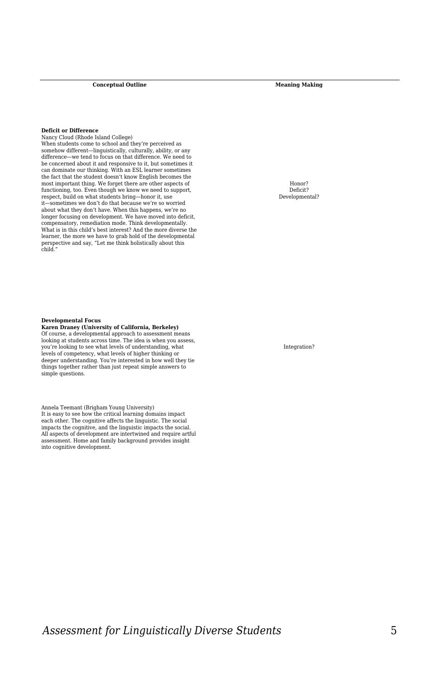#### **Deficit or Difference**

Nancy Cloud (Rhode Island College) When students come to school and they're perceived as somehow different—linguistically, culturally, ability, or any difference—we tend to focus on that difference. We need to be concerned about it and responsive to it, but sometimes it can dominate our thinking. With an ESL learner sometimes the fact that the student doesn't know English becomes the most important thing. We forget there are other aspects of functioning, too. Even though we know we need to support, respect, build on what students bring—honor it, use it—sometimes we don't do that because we're so worried about what they don't have. When this happens, we're no longer focusing on development. We have moved into deficit, compensatory, remediation mode. Think developmentally. What is in this child's best interest? And the more diverse the learner, the more we have to grab hold of the developmental perspective and say, "Let me think holistically about this child."

Honor? Deficit? Developmental?

#### **Developmental Focus**

#### **Karen Draney (University of California, Berkeley)** Of course, a developmental approach to assessment means looking at students across time. The idea is when you assess, you're looking to see what levels of understanding, what levels of competency, what levels of higher thinking or deeper understanding. You're interested in how well they tie

things together rather than just repeat simple answers to simple questions.

Annela Teemant (Brigham Young University) It is easy to see how the critical learning domains impact each other. The cognitive affects the linguistic. The social impacts the cognitive, and the linguistic impacts the social. All aspects of development are intertwined and require artful assessment. Home and family background provides insight into cognitive development.

Integration?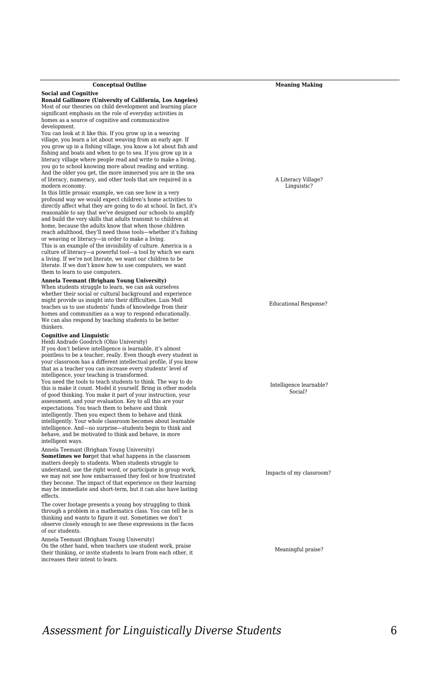### **Social and Cognitive**

**Ronald Gallimore (University of California, Los Angeles)** Most of our theories on child development and learning place significant emphasis on the role of everyday activities in homes as a source of cognitive and communicative development.

You can look at it like this. If you grow up in a weaving village, you learn a lot about weaving from an early age. If you grow up in a fishing village, you know a lot about fish and fishing and boats and when to go to sea. If you grow up in a literacy village where people read and write to make a living, you go to school knowing more about reading and writing. And the older you get, the more immersed you are in the sea of literacy, numeracy, and other tools that are required in a modern economy.

In this little prosaic example, we can see how in a very profound way we would expect children's home activities to directly affect what they are going to do at school. In fact, it's reasonable to say that we've designed our schools to amplify and build the very skills that adults transmit to children at home, because the adults know that when those children reach adulthood, they'll need those tools—whether it's fishing or weaving or literacy—in order to make a living. This is an example of the invisibility of culture. America is a culture of literacy—a powerful tool—a tool by which we earn a living. If we're not literate, we want our children to be literate. If we don't know how to use computers, we want them to learn to use computers.

#### **Annela Teemant (Brigham Young University)**

When students struggle to learn, we can ask ourselves whether their social or cultural background and experience might provide us insight into their difficulties. Luis Moll teaches us to use students' funds of knowledge from their homes and communities as a way to respond educationally. We can also respond by teaching students to be better thinkers.

#### **Cognitive and Linguistic**

Heidi Andrade Goodrich (Ohio University) If you don't believe intelligence is learnable, it's almost pointless to be a teacher, really. Even though every student in your classroom has a different intellectual profile, if you know that as a teacher you can increase every students' level of intelligence, your teaching is transformed. You need the tools to teach students to think. The way to do this is make it count. Model it yourself. Bring in other models of good thinking. You make it part of your instruction, your assessment, and your evaluation. Key to all this are your expectations. You teach them to behave and think intelligently. Then you expect them to behave and think intelligently. Your whole classroom becomes about learnable intelligence. And—no surprise—students begin to think and behave, and be motivated to think and behave, in more intelligent ways.

Annela Teemant (Brigham Young University)

**Sometimes we for**get that what happens in the classroom matters deeply to students. When students struggle to understand, use the right word, or participate in group work, we may not see how embarrassed they feel or how frustrated they become. The impact of that experience on their learning may be immediate and short-term, but it can also have lasting effects.

The cover footage presents a young boy struggling to think through a problem in a mathematics class. You can tell he is thinking and wants to figure it out. Sometimes we don't observe closely enough to see these expressions in the faces of our students.

Annela Teemant (Brigham Young University)

On the other hand, when teachers use student work, praise their thinking, or invite students to learn from each other, it increases their intent to learn.

A Literacy Village?

Linguistic?

Educational Response?

Intelligence learnable? Social?

Impacts of my classroom?

Meaningful praise?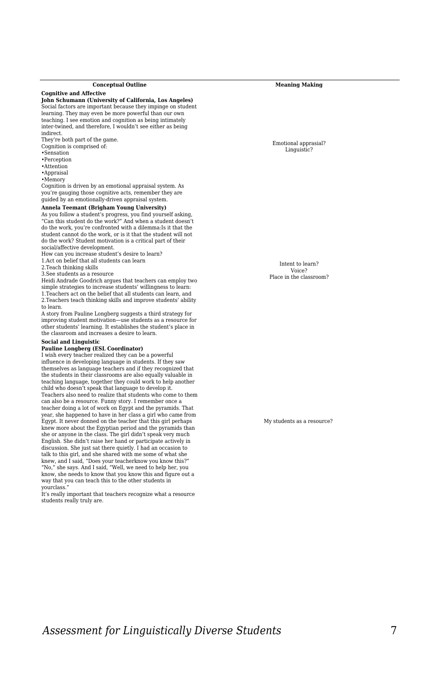**Cognitive and Affective**

### **John Schumann (University of California, Los Angeles)**

Social factors are important because they impinge on student learning. They may even be more powerful than our own teaching. I see emotion and cognition as being intimately inter-twined, and therefore, I wouldn't see either as being indirect.

They're both part of the game.

- Cognition is comprised of:
- •Sensation •Perception
- •Attention
- •Appraisal
- •Memory

Cognition is driven by an emotional appraisal system. As you're gauging those cognitive acts, remember they are guided by an emotionally-driven appraisal system.

#### **Annela Teemant (Brigham Young University)**

As you follow a student's progress, you find yourself asking, "Can this student do the work?" And when a student doesn't do the work, you're confronted with a dilemma:Is it that the student cannot do the work, or is it that the student will not do the work? Student motivation is a critical part of their social/affective development.

How can you increase student's desire to learn?

1.Act on belief that all students can learn

2.Teach thinking skills

3.See students as a resource

Heidi Andrade Goodrich argues that teachers can employ two simple strategies to increase students' willingness to learn: 1.Teachers act on the belief that all students can learn, and 2.Teachers teach thinking skills and improve students' ability to learn.

A story from Pauline Longberg suggests a third strategy for improving student motivation—use students as a resource for other students' learning. It establishes the student's place in the classroom and increases a desire to learn.

#### **Social and Linguistic**

#### **Pauline Longberg (ESL Coordinator)**

I wish every teacher realized they can be a powerful influence in developing language in students. If they saw themselves as language teachers and if they recognized that the students in their classrooms are also equally valuable in teaching language, together they could work to help another child who doesn't speak that language to develop it. Teachers also need to realize that students who come to them can also be a resource. Funny story. I remember once a teacher doing a lot of work on Egypt and the pyramids. That year, she happened to have in her class a girl who came from Egypt. It never donned on the teacher that this girl perhaps knew more about the Egyptian period and the pyramids than she or anyone in the class. The girl didn't speak very much English. She didn't raise her hand or participate actively in discussion. She just sat there quietly. I had an occasion to talk to this girl, and she shared with me some of what she knew, and I said, "Does your teacherknow you know this?" "No," she says. And I said, "Well, we need to help her, you know, she needs to know that you know this and figure out a way that you can teach this to the other students in yourclass."

It's really important that teachers recognize what a resource students really truly are.

**Conceptual Outline Meaning Making** 

Emotional apprasial? Linguistic?

Intent to learn? Voice? Place in the classroom?

My students as a resource?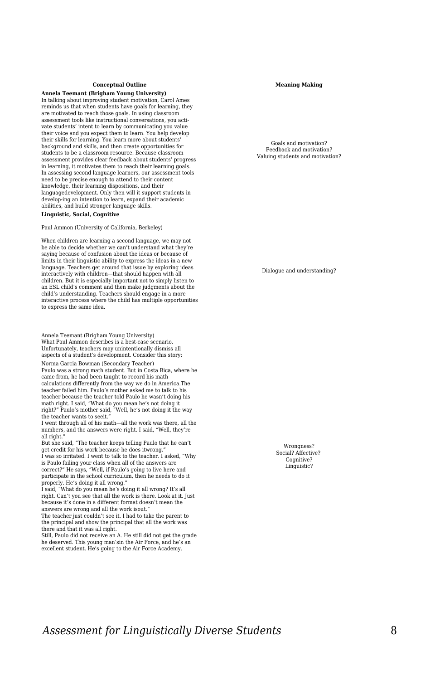**Annela Teemant (Brigham Young University)** In talking about improving student motivation, Carol Ames reminds us that when students have goals for learning, they are motivated to reach those goals. In using classroom assessment tools like instructional conversations, you activate students' intent to learn by communicating you value their voice and you expect them to learn. You help develop their skills for learning. You learn more about students' background and skills, and then create opportunities for students to be a classroom resource. Because classroom assessment provides clear feedback about students' progress in learning, it motivates them to reach their learning goals. In assessing second language learners, our assessment tools need to be precise enough to attend to their content knowledge, their learning dispositions, and their languagedevelopment. Only then will it support students in develop-ing an intention to learn, expand their academic abilities, and build stronger language skills.

#### **Linguistic, Social, Cognitive**

Paul Ammon (University of California, Berkeley)

When children are learning a second language, we may not be able to decide whether we can't understand what they're saying because of confusion about the ideas or because of limits in their linguistic ability to express the ideas in a new language. Teachers get around that issue by exploring ideas interactively with children—that should happen with all children. But it is especially important not to simply listen to an ESL child's comment and then make judgments about the child's understanding. Teachers should engage in a more interactive process where the child has multiple opportunities to express the same idea.

Annela Teemant (Brigham Young University) What Paul Ammon describes is a best-case scenario. Unfortunately, teachers may unintentionally dismiss all aspects of a student's development. Consider this story: Norma Garcia Bowman (Secondary Teacher)

Paulo was a strong math student. But in Costa Rica, where he came from, he had been taught to record his math calculations differently from the way we do in America.The teacher failed him. Paulo's mother asked me to talk to his teacher because the teacher told Paulo he wasn't doing his math right. I said, "What do you mean he's not doing it right?" Paulo's mother said, "Well, he's not doing it the way the teacher wants to seeit."

I went through all of his math—all the work was there, all the numbers, and the answers were right. I said, "Well, they're all right."

But she said, "The teacher keeps telling Paulo that he can't get credit for his work because he does itwrong."

I was so irritated. I went to talk to the teacher. I asked, "Why is Paulo failing your class when all of the answers are correct?" He says, "Well, if Paulo's going to live here and participate in the school curriculum, then he needs to do it properly. He's doing it all wrong."

I said, "What do you mean he's doing it all wrong? It's all right. Can't you see that all the work is there. Look at it. Just because it's done in a different format doesn't mean the answers are wrong and all the work isout."

The teacher just couldn't see it. I had to take the parent to the principal and show the principal that all the work was there and that it was all right.

Still, Paulo did not receive an A. He still did not get the grade he deserved. This young man'sin the Air Force, and he's an excellent student. He's going to the Air Force Academy.

Goals and motivation? Feedback and motivation? Valuing students and motivation?

Dialogue and understanding?

Wrongness? Social? Affective? Cognitive? Linguistic?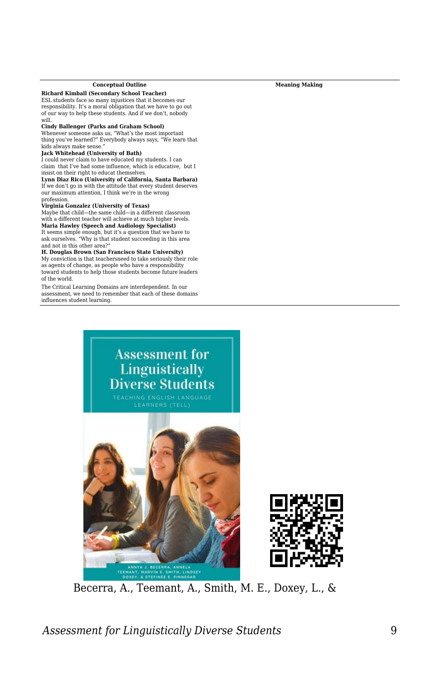## **Richard Kimball (Secondary School Teacher)**

ESL students face so many injustices that it becomes our responsibility. It's a moral obligation that we have to go out of our way to help these students. And if we don't, nobody will.

#### **Cindy Ballenger (Parks and Graham School)**

Whenever someone asks us, "What's the most important thing you've learned?" Everybody always says, "We learn that kids always make sense."

#### **Jack Whitehead (University of Bath)**

I could never claim to have educated my students. I can claim that I've had some influence, which is educative, but I insist on their right to educat themselves.

**Lynn Diaz Rico (University of California, Santa Barbara)** If we don't go in with the attitude that every student deserves our maximum attention, I think we're in the wrong profession.

**Virginia Gonzalez (University of Texas)** Maybe that child—the same child—in a different classroom with a different teacher will achieve at much higher levels. **Maria Hawley (Speech and Audiology Specialist)** It seems simple enough, but it's a question that we have to ask ourselves. "Why is that student succeeding in this area and not in this other area?"

#### **H. Douglas Brown (San Francisco State University)**

My conviction is that teachersneed to take seriously their role as agents of change, as people who have a responsibility toward students to help those students become future leaders of the world.

The Critical Learning Domains are interdependent. In our assessment, we need to remember that each of these domains influences student learning.





Becerra, A., Teemant, A., Smith, M. E., Doxey, L., &

## *Assessment for Linguistically Diverse Students* 9